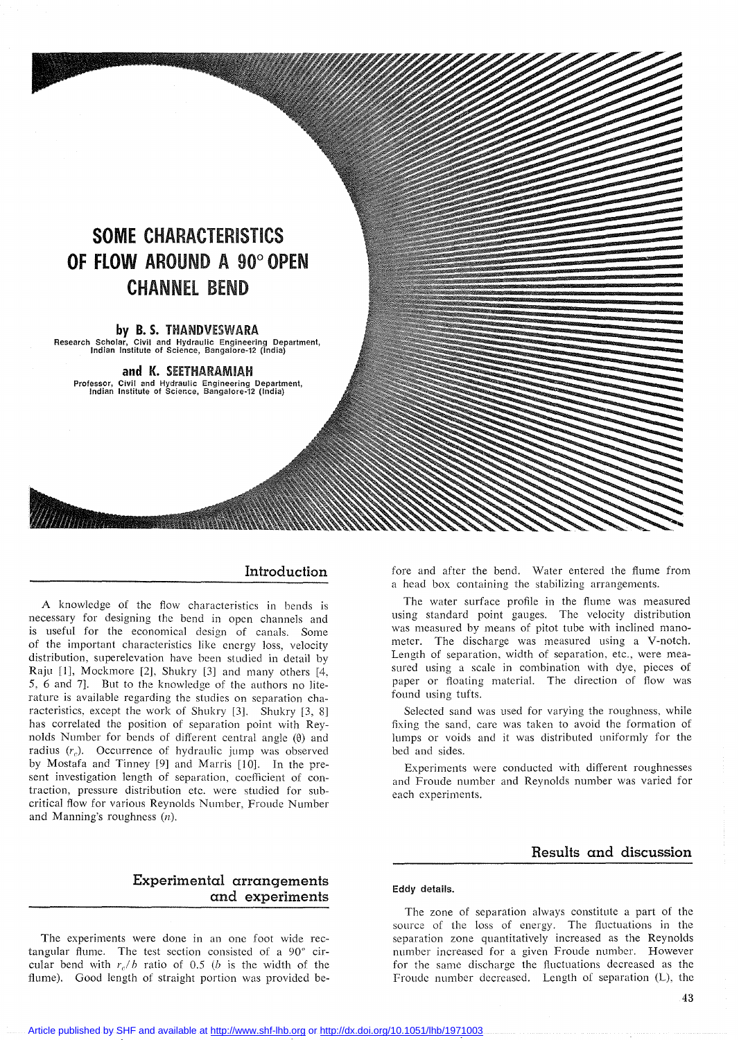# **SOME CHARACTERISTICS OF FLOW AROUND A** 90° **OPEN CHANNEL** BEND

#### **by B. s.** THANDVESWARA

Research Scholar, Civil and Hydraulic Engineering Department, lndian Institute of Science, Bangalore-12 (India)

**and K.** SEETHARAMIAH Professor, Civil and Hydraulic Engineering Department, lndian Institute of Science, Bangalore-12 (India)

#### **Introduction**

A knowledge of the flow characteristics in bends is necessary for designing the bend in open channels and is useful for the economical design of canals. Some of the important characteristics like energy loss, velocity distribution, superelevation have been studied in detail by Raju [1], Mockmore [2], Shukry [3] and many others [4, 5, 6 and 7]. But to the knowledge of the authors no literature is available regarding the studies on separation characteristics, except the work of Shukry [3]. Shukry [3, 8] has correlated the position of separation point with Reynolds Number for bends of different central angle  $(\theta)$  and radius  $(r<sub>c</sub>)$ . Occurrence of hydraulic jump was observed by Mostafa and Tinney [9] and Marris [10]. In the present investigation length of separation, coefficient of contraction, pressure distribution etc. were studied for subcritical flow for various Reynolds Number, Froude Number and Manning's roughness (n).

# **Experimental arrangements and experiments**

The experiments were done in an one foot wide rectangular flume. The test section consisted of a 90° circular bend with  $r_e/b$  ratio of 0.5 (b is the width of the flume). Good length of straight portion was provided before and after the bend. Water entered the flume from a head box containing the stabilizing arrangements.

The water surface profile in the flume was measured using standard point gauges. The velocity distribution was measured by means of pitot tube with inclined manometer. The discharge was measured using a V-notch. Length of separation, width of separation, etc., were measured using a scale in combination with dye, pieces of paper or floating material. The direction of flow was found using tufts.

Selected sand was used for varying the roughness, while fixing the sand, care was taken to avoid the formation of lumps or voids and it was distributed uniformly for the bed and sides.

Experiments were conducted with different roughnesses and Froude number and Reynolds number was varied for cach experiments.

# **Results and discussion**

#### **Eddy delails.**

The zone of separation always constitute a part of the source of the loss of energy. The fluctuations in the separation zone quantitatively increased as the Reynolds number increased for a given Froude number. However for the same discharge the fluctuations decreased as the Froude number decreased. Length of separation (L), the

Article published by SHF and available at <http://www.shf-lhb.org> or <http://dx.doi.org/10.1051/lhb/1971003>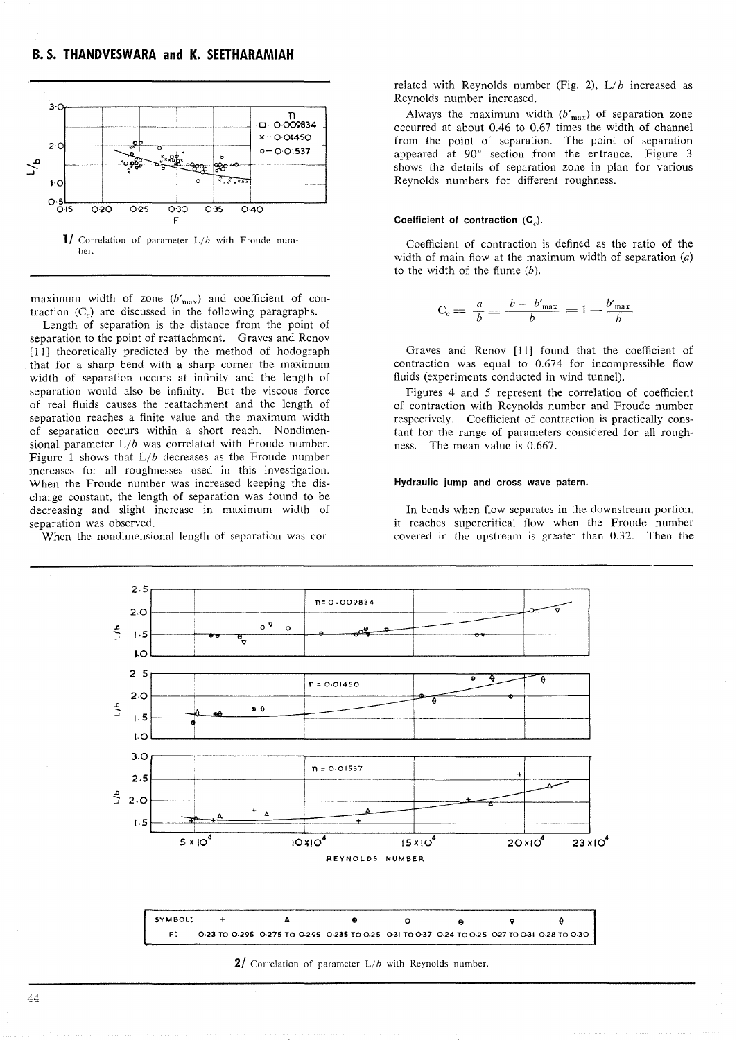

**1/** Correlation of parameter  $L/b$  with Froude number.

maximum width of zone  $(b'_{\text{max}})$  and coefficient of contraction  $(C<sub>c</sub>)$  are discussed in the following paragraphs.

Length of separation is the distance from the point of separation to the point of reattachment. Graves and Renov [11] theoretically predicted by the method of hodograph that for a sharp bend with a sharp corner the maximum width of separation occurs at infinity and the length of separation would also be infinity. But the viscous force of real fluids causes the reattachment and the length of separation reaches a finite value and the maximum width of separation occurs within a short reach. Nondimensional parameter  $L/b$  was correlated with Froude number. Figure 1 shows that *Lib* decreases as the Froude number increases for ail roughnesses used in this investigation. When the Froude number was increased keeping the discharge constant, the length of separation was found to be decreasing and slight increase in maximum width of separation was observed.

When the nondimensional length of separation was cor-

related with Reynolds number (Fig. 2), L/b increased as Reynolds number increased.

Always the maximum width  $(b'_{\text{max}})$  of separation zone occurred at about 0.46 to 0.67 times the width of channel from the point of separation. The point of separation appeared at 90° section from the entrance. Figure 3 shows the details of separation zone in plan for various Reynolds numbers for different roughness.

#### Coefficient of contraction  $(C_n)$ .

Coefficient of contraction is defined as the ratio of the width of main flow at the maximum width of separation  $(a)$ to the width of the flume  $(b)$ .

$$
C_c = \frac{a}{b} = \frac{b - b'_{\text{max}}}{b} = 1 - \frac{b'_{\text{max}}}{b}
$$

Graves and Renov [Il] found that the coefficient of contraction was equal to  $0.674$  for incompressible flow fluids (experiments conducted in wind tunnel).

Figures 4 and 5 represent the correlation of coefficient of contraction with Reynolds number and Froude number respectively. Coefficient of contraction is practically constant for the range of parameters considered for ail roughness. The mean value is 0.667.

#### Hydraulic jump and cross wave patern.

In bends when flow separates in the downstream portion, it reaches supercritical flow when the Froude number covered in the upstream is greater than 0.32. Then the



**2/** Correlation of parameter L/b with Reynolds number.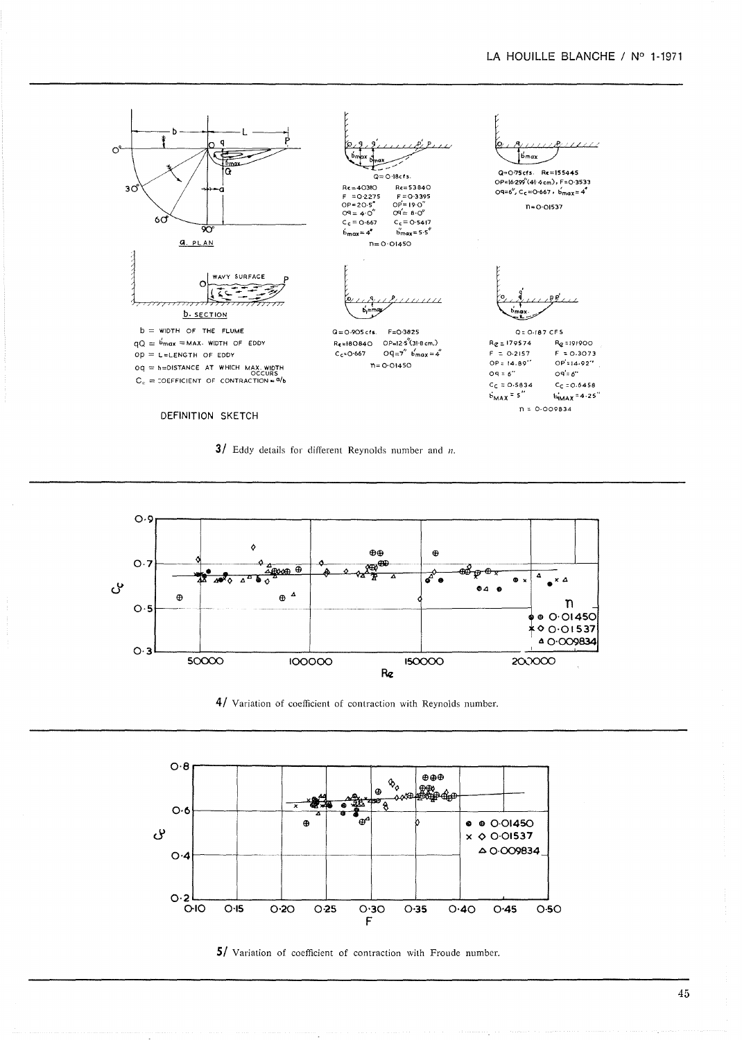## LA HOUILLE BLANCHE / Nº 1-1971











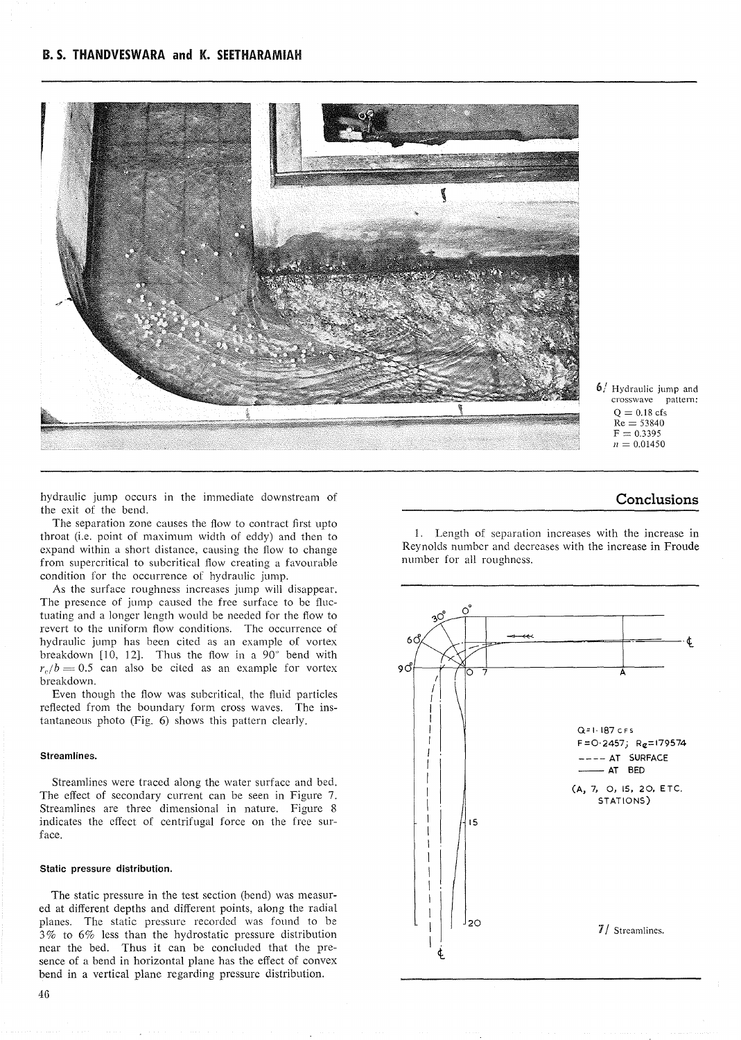

6/ Hydraulic jump and crosswave pattern:  $Q = 0.18$  cfs  $Re = 53840$  $F = 0.3395$  $n = 0.01450$ 

hydraulic jump occurs in the immediate downstream of the exit of the bend.

The separation zone causes the flow to contract first upto throat (i.e. point of maximum width of eddy) and then ta expand within a short distance, causing the flow to change from supercritical to subcritical flow creating a favourable condition for the occurrence of hydraulic jump.

As the surface roughness increases jump will disappear. The presence of jump caused the free surface to be fluctuating and a longer length would be needed for the flow to revert to the uniform flow conditions. The occurrence of hydraulic jump has been cited as an example of vortex hreakdown [10, 12]. Thus the flow in a 90" bend with  $r_e/b = 0.5$  can also be cited as an example for vortex hreakdown.

Even though the flow was subcritical, the fluid particles reflected from the boundary form cross waves. The instantaneous photo (Fig. 6) shows this pattern clearly.

#### Streamlines.

Streamlines were traced along the water surface and bed. The effect of secondary current can be seen in Figure 7. Streamlines are three dimensional in nature. Figure 8 indicates the effect of centrifugaI force on the free surface.

#### **Statie pressure distribution.**

The static pressure in the test section (bend) was measured at different depths and different points, along the radial planes. The static pressure recorded was found to be 3% to 6% less than the hydrostatic pressure distribution near the bed. Thus it can be concluded that the presence of a bend in horizontal plane has the effect of convex bend in a vertical plane regarding pressure distribution.

# **Conclusions**

1. Length of separation increases with the increase in Reynolds number and decreases with the increase in Froude number for ail roughness.

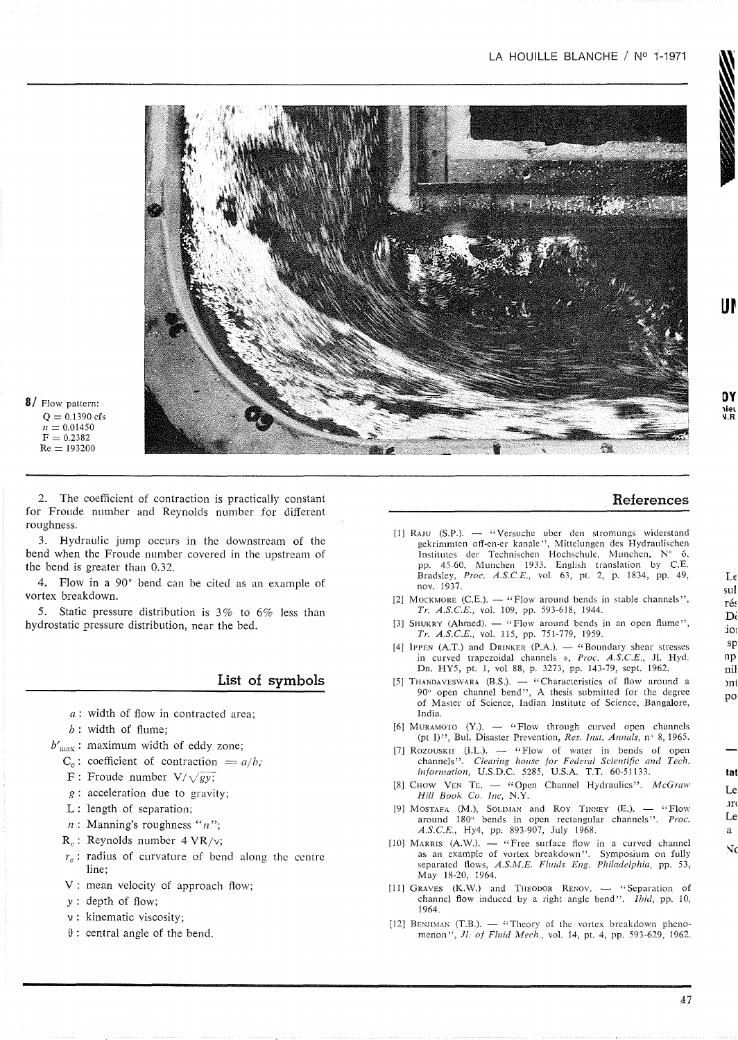### LA HOUILLE BLANCHE / Nº 1-1971



8/ Flow pattern:  $Q = 0.1390 \text{ cfs}$  $n = 0.01450$  $F = 0.2382$  $Re = 193200$ 

2. The coefficient of contraction is practically constant for Froude number and Reynolds number for different roughness.

3. Hydraulic jump occurs in the downstream of the bend when the Froude number covered in the upstream of the bend is greater than 0.32.

4. Flow in a 90° bend can be cited as an example of vortex breakdown.

5. Static pressure distribution is 3% to 6% less than hydrostatic pressure distribution, near the bed.

# **List of symbols**

- *a:* width of flow in contracted area;
- $b$ : width of flume;
- $b'_{\text{max}}$ : maximum width of eddy zone;
	- $C_c$ : coefficient of contraction =  $a/b$ ;
	- $F:$  Froude number  $V/\sqrt{gy}$ ;
	- $g$ : acceleration due to gravity;
	- L: length of separation;
	- *n:* Manning's roughness *"n";*
	- *Re:* Reynolds number 4 VR/v;
	- $r<sub>e</sub>$ : radius of curvature of bend along the centre line;
	- V: mean velocity of approach flow;
	- y: depth of flow;
	- v: kinematic viscosity;
	- $\theta$ : central angle of the bend.

# **References**

- [1] RAJU (S.P.). "Versuche uber den stromungs widerstand gekrimmten off-en-er kanalc", Mittelungen des Hydraulischen Institutes der Technischen Hochschule, Munchen, N° 6. pp. 45-60, Munchen 1933. English translation by c.E. Bradsley, *Proc. A.S.C.E.*, vol. 63, pt. 2, p. 1834, pp. 49, nov. 1937.
- [2] MOCKMORE (C.E.).  $-$  "Flow around bends in stable channels", *Tr. A.S.C.E.*, vol. 109, pp. 593-618, 1944.
- [3] SHUKRY (Ahmed).  $-$  "Flow around bends in an open flume", *Tr. A.S.C.E.*, vol. 115, pp. 751-779, 1959.
- [4] IPPEN (A.T.) and DRINKER  $(P.A.)$ .  $-$  "Boundary shear stresses in curved trapezoidal channels », *Proc. A.S.C.E.,* JI. Hyd. Dn. RY5, pt. I, vol 88, p. 3273, pp. 143-79, sept. 1962.
- [5] THANDAVESWARA  $(B.S.)$ .  $-$  "Characteristics of flow around a 90" open channel bend", A thesis submitted for the degree of Master of Science, Indian Institute of Science, Bangalore, India.
- [6] MURAMOTO  $(Y)$ .  $-$  "Flow through curved open channels (pt I)", Bul. Disaster Prevention, *Res. Inst. Annals,* n" 8,1965.
- [7] ROZOUSKII (I.L.).  $-$  "Flow of water in bends of open channels". *Clearing house for Federal Scientific and Tech.* information, U.S.D.C. 5285, U.S.A. T.T. 60-51133.
- [8] CHOW VEN TE. "Open Channel Hydraulics". *McGraw Hill Book Co. Inc,* N.Y.
- [9] MOSTAFA  $(M.)$ , SOLIMAN and ROY TINNEY  $(E.)$ . "Flow around 180" bends in open rectangular channels". *Proc. A.S.C.E.,* Hy4, pp. 893-907, July 1968.
- [10] MARRIS  $(A.W.)$ . "Free surface flow in a curved channel as an example of vortex breakdown". Symposium on fully separated flows, *A.S.M.E. Fluids Eng. Philadelphia,* pp. 53, May 18-20, 1964.
- [11] GRAVES  $(K.W.)$  and THEODOR RENOV.  $-$  "Separation of channel flow induced by a right angle bend". *Ibid,* pp. 10, 1964.
- [12] BENJIMAN (T.B.).  $-$  "Theory of the vortex breakdown phenomenon", *JI. of Fluid Mech.,* vol. 14, pt. 4, pp. 593-629, 1962.

:iOI sp np nil ml po

Le sul ré Di

**ur**

**Oy** ,Iel 'l.R

#### **lat** Le Jn

Le aÑ٢